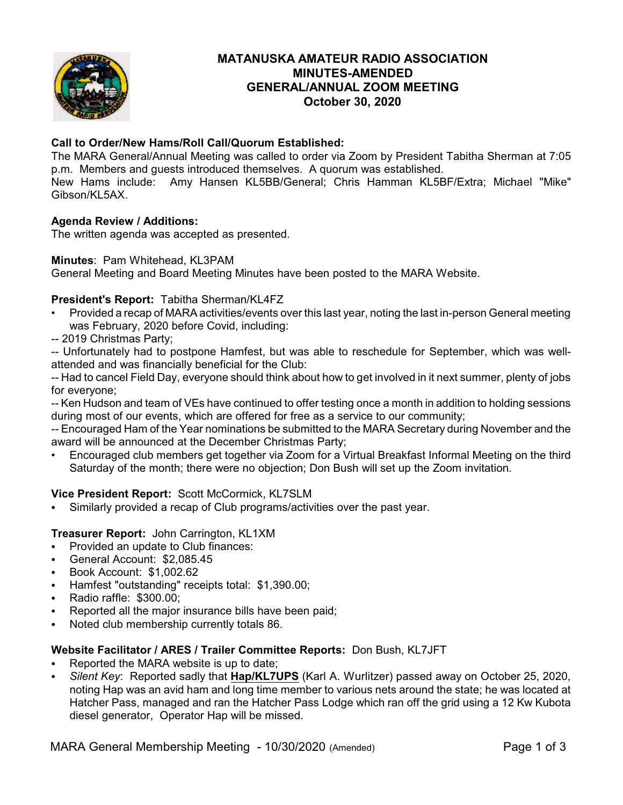

# **MATANUSKA AMATEUR RADIO ASSOCIATION MINUTES-AMENDED GENERAL/ANNUAL ZOOM MEETING October 30, 2020**

# **Call to Order/New Hams/Roll Call/Quorum Established:**

The MARA General/Annual Meeting was called to order via Zoom by President Tabitha Sherman at 7:05 p.m. Members and guests introduced themselves. A quorum was established. New Hams include: Amy Hansen KL5BB/General; Chris Hamman KL5BF/Extra; Michael "Mike"

Gibson/KL5AX.

# **Agenda Review / Additions:**

The written agenda was accepted as presented.

## **Minutes**: Pam Whitehead, KL3PAM

General Meeting and Board Meeting Minutes have been posted to the MARA Website.

# **President's Report:** Tabitha Sherman/KL4FZ

- Provided a recap of MARA activities/events over this last year, noting the last in-person General meeting was February, 2020 before Covid, including:
- -- 2019 Christmas Party;

-- Unfortunately had to postpone Hamfest, but was able to reschedule for September, which was wellattended and was financially beneficial for the Club:

-- Had to cancel Field Day, everyone should think about how to get involved in it next summer, plenty of jobs for everyone;

-- Ken Hudson and team of VEs have continued to offer testing once a month in addition to holding sessions during most of our events, which are offered for free as a service to our community;

-- Encouraged Ham of the Year nominations be submitted to the MARA Secretary during November and the award will be announced at the December Christmas Party;

• Encouraged club members get together via Zoom for a Virtual Breakfast Informal Meeting on the third Saturday of the month; there were no objection; Don Bush will set up the Zoom invitation.

# **Vice President Report:** Scott McCormick, KL7SLM

Similarly provided a recap of Club programs/activities over the past year.

## **Treasurer Report:** John Carrington, KL1XM

- Provided an update to Club finances:
- General Account: \$2,085.45
- $\bullet$  Book Account: \$1,002.62
- Hamfest "outstanding" receipts total: \$1,390.00;
- C Radio raffle: \$300.00;
- Reported all the major insurance bills have been paid;
- Noted club membership currently totals 86.

## **Website Facilitator / ARES / Trailer Committee Reports:** Don Bush, KL7JFT

- Reported the MARA website is up to date;
- C *Silent Key*: Reported sadly that **Hap/KL7UPS** (Karl A. Wurlitzer) passed away on October 25, 2020, noting Hap was an avid ham and long time member to various nets around the state; he was located at Hatcher Pass, managed and ran the Hatcher Pass Lodge which ran off the grid using a 12 Kw Kubota diesel generator, Operator Hap will be missed.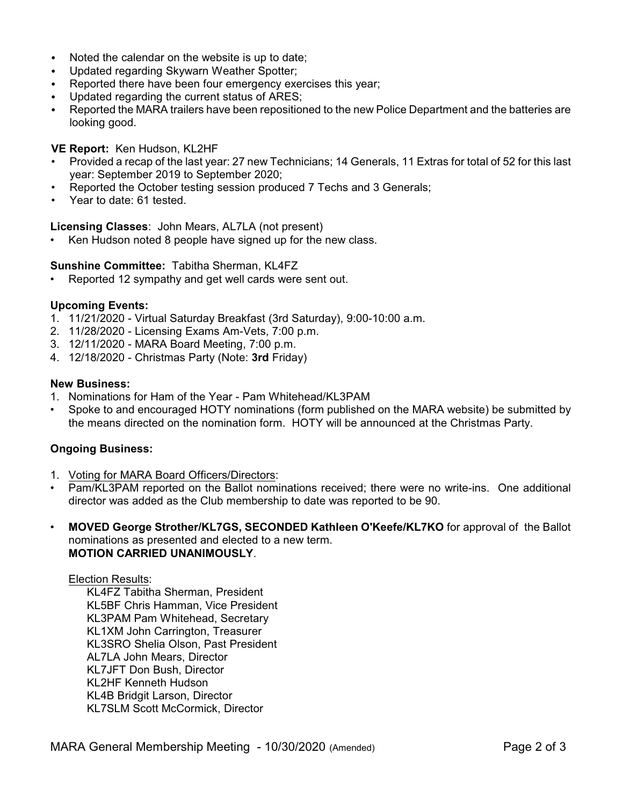- Noted the calendar on the website is up to date:
- Updated regarding Skywarn Weather Spotter;
- Reported there have been four emergency exercises this year;
- Updated regarding the current status of ARES;
- Reported the MARA trailers have been repositioned to the new Police Department and the batteries are looking good.

## **VE Report:** Ken Hudson, KL2HF

- Provided a recap of the last year: 27 new Technicians; 14 Generals, 11 Extras for total of 52 for this last year: September 2019 to September 2020;
- Reported the October testing session produced 7 Techs and 3 Generals;
- Year to date: 61 tested.

#### **Licensing Classes**: John Mears, AL7LA (not present)

Ken Hudson noted 8 people have signed up for the new class.

#### **Sunshine Committee:** Tabitha Sherman, KL4FZ

• Reported 12 sympathy and get well cards were sent out.

#### **Upcoming Events:**

- 1. 11/21/2020 Virtual Saturday Breakfast (3rd Saturday), 9:00-10:00 a.m.
- 2. 11/28/2020 Licensing Exams Am-Vets, 7:00 p.m.
- 3. 12/11/2020 MARA Board Meeting, 7:00 p.m.
- 4. 12/18/2020 Christmas Party (Note: **3rd** Friday)

#### **New Business:**

- 1. Nominations for Ham of the Year Pam Whitehead/KL3PAM
- Spoke to and encouraged HOTY nominations (form published on the MARA website) be submitted by the means directed on the nomination form. HOTY will be announced at the Christmas Party.

## **Ongoing Business:**

- 1. Voting for MARA Board Officers/Directors:
- Pam/KL3PAM reported on the Ballot nominations received; there were no write-ins. One additional director was added as the Club membership to date was reported to be 90.
- **MOVED George Strother/KL7GS, SECONDED Kathleen O'Keefe/KL7KO** for approval of the Ballot nominations as presented and elected to a new term. **MOTION CARRIED UNANIMOUSLY**.

#### Election Results:

KL4FZ Tabitha Sherman, President KL5BF Chris Hamman, Vice President KL3PAM Pam Whitehead, Secretary KL1XM John Carrington, Treasurer KL3SRO Shelia Olson, Past President AL7LA John Mears, Director KL7JFT Don Bush, Director KL2HF Kenneth Hudson KL4B Bridgit Larson, Director KL7SLM Scott McCormick, Director